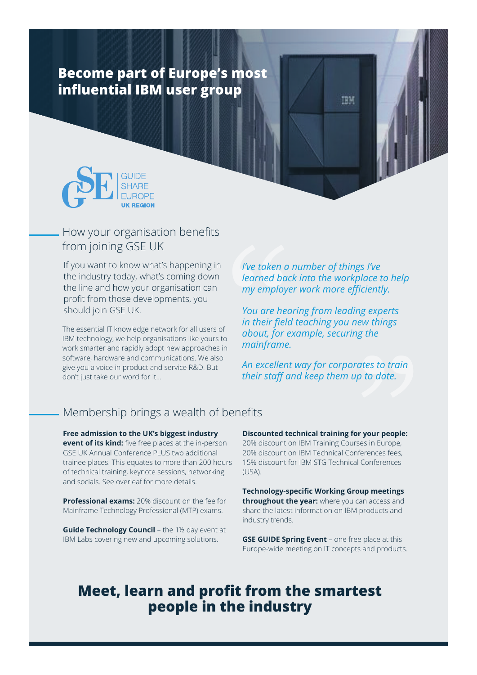# **Become part of Europe's most influential IBM user group**



## How your organisation benefits from joining GSE UK

If you want to know what's happening in the industry today, what's coming down the line and how your organisation can profit from those developments, you should join GSE UK.

The essential IT knowledge network for all users of IBM technology, we help organisations like yours to work smarter and rapidly adopt new approaches in software, hardware and communications. We also give you a voice in product and service R&D. But don't just take our word for it…

*I've taken a number of things I've learned back into the workplace to help my employer work more efficiently.*

**IBM** 

l've taken a<br>learned bac<br>my employe<br>You are hea<br>in their fiela<br>about, for e<br>mainframe.<br>An excellent<br>their staff a *You are hearing from leading experts in their field teaching you new things about, for example, securing the mainframe.*

*An excellent way for corporates to train their staff and keep them up to date.*

### Membership brings a wealth of benefits

**Free admission to the UK's biggest industry event of its kind:** five free places at the in-person GSE UK Annual Conference PLUS two additional trainee places. This equates to more than 200 hours of technical training, keynote sessions, networking and socials. See overleaf for more details.

**Professional exams:** 20% discount on the fee for Mainframe Technology Professional (MTP) exams.

**Guide Technology Council** – the 1½ day event at IBM Labs covering new and upcoming solutions.

**Discounted technical training for your people:**  20% discount on IBM Training Courses in Europe, 20% discount on IBM Technical Conferences fees, 15% discount for IBM STG Technical Conferences (USA). **rates to train<br>
up to date.**<br> **or your people:**<br>
rses in Europe,<br>
nferences fees,<br>
al Conferences<br> **roup meetings**<br>
can access and<br> *A* products and

**Technology-specific Working Group meetings throughout the year:** where you can access and share the latest information on IBM products and industry trends.

**GSE GUIDE Spring Event** – one free place at this Europe-wide meeting on IT concepts and products.

# **Meet, learn and profit from the smartest people in the industry**